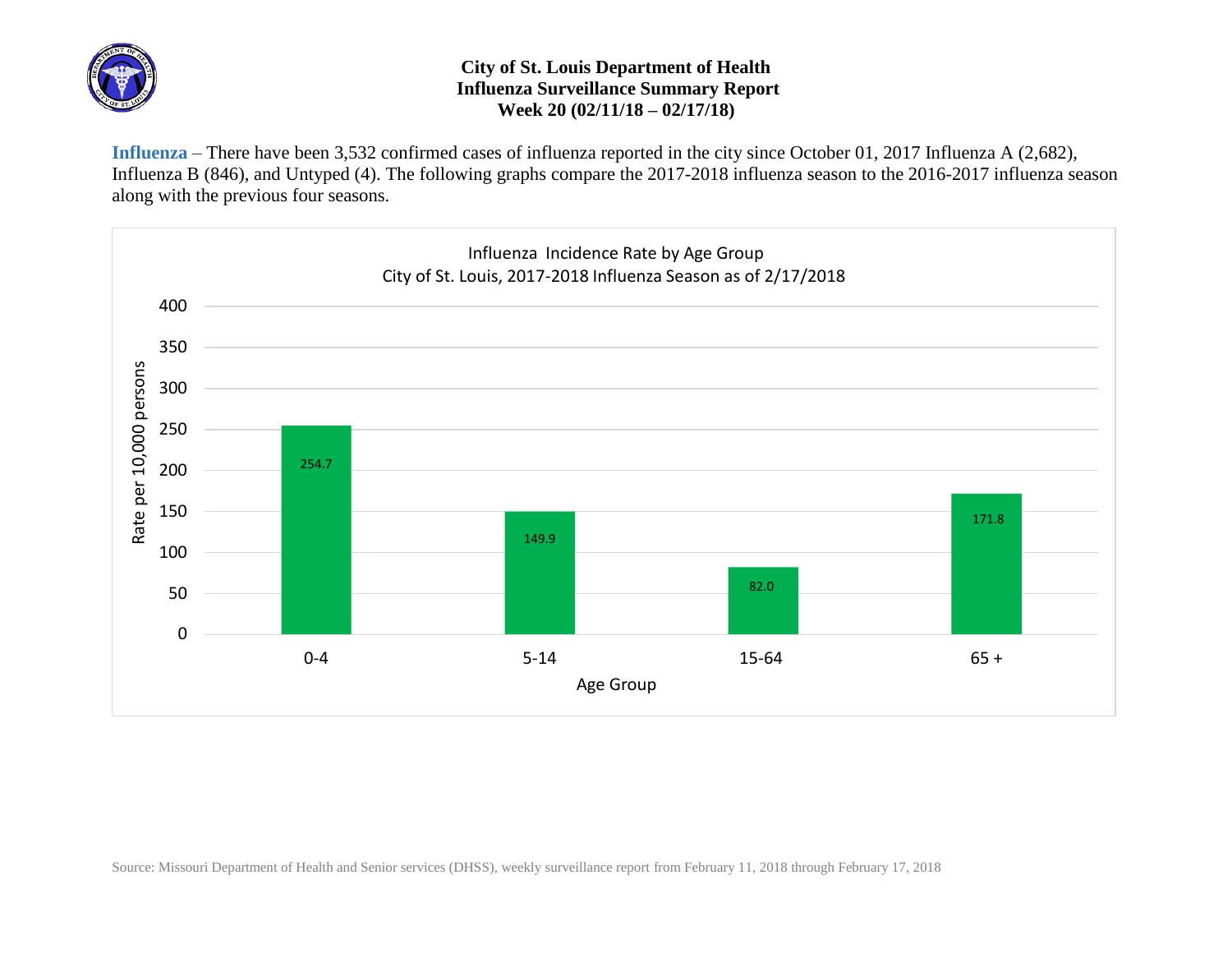

## **City of St. Louis Department of Health Influenza Surveillance Summary Report Week 20 (02/11/18 – 02/17/18)**

**Influenza** – There have been 3,532 confirmed cases of influenza reported in the city since October 01, 2017 Influenza A (2,682), Influenza B (846), and Untyped (4). The following graphs compare the 2017-2018 influenza season to the 2016-2017 influenza season along with the previous four seasons.